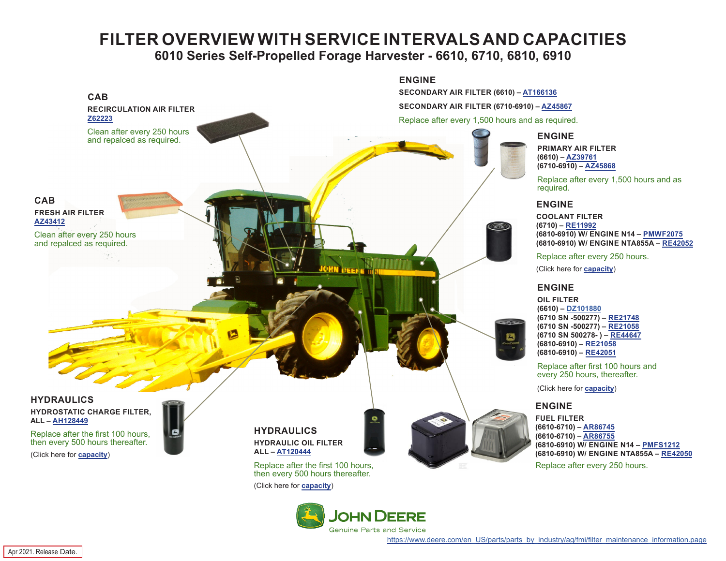## **FILTER OVERVIEW WITH SERVICE INTERVALS AND CAPACITIES 6010 Series Self-Propelled Forage Harvester - 6610, 6710, 6810, 6910**

<span id="page-0-0"></span>



Apr 2021. Release Date.